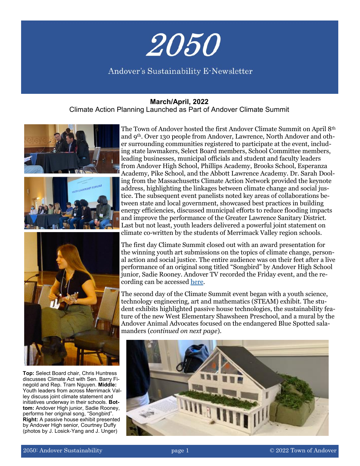

## Andover's Sustainability E-Newsletter

#### **March/April, 2022**

Climate Action Planning Launched as Part of Andover Climate Summit



**Top:** Select Board chair, Chris Huntress discusses Climate Act with Sen. Barry Finegold and Rep. Tram Nguyen. **Middle:**  Youth leaders from across Merrimack Valley discuss joint climate statement and initiatives underway in their schools. **Bottom:** Andover High junior, Sadie Rooney, performs her original song, "Songbird". **Right:** A passive house exhibit presented by Andover High senior, Courtney Duffy (photos by J. Losick-Yang and J. Unger)

The Town of Andover hosted the first Andover Climate Summit on April 8th and 9th. Over 130 people from Andover, Lawrence, North Andover and other surrounding communities registered to participate at the event, including state lawmakers, Select Board members, School Committee members, leading businesses, municipal officials and student and faculty leaders from Andover High School, Phillips Academy, Brooks School, Esperanza Academy, Pike School, and the Abbott Lawrence Academy. Dr. Sarah Dooling from the Massachusetts Climate Action Network provided the keynote address, highlighting the linkages between climate change and social justice. The subsequent event panelists noted key areas of collaborations between state and local government, showcased best practices in building energy efficiencies, discussed municipal efforts to reduce flooding impacts and improve the performance of the Greater Lawrence Sanitary District. Last but not least, youth leaders delivered a powerful joint statement on climate co-written by the students of Merrimack Valley region schools.

The first day Climate Summit closed out with an award presentation for the winning youth art submissions on the topics of climate change, personal action and social justice. The entire audience was on their feet after a live performance of an original song titled "Songbird" by Andover High School junior, Sadie Rooney. Andover TV recorded the Friday event, and the recording can be accessed [here.](https://cloud.castus.tv/vod/andover/video/625c7abd813ece0009c911c5?page=HOME)

The second day of the Climate Summit event began with a youth science, technology engineering, art and mathematics (STEAM) exhibit. The student exhibits highlighted passive house technologies, the sustainability feature of the new West Elementary Shawsheen Preschool, and a mural by the Andover Animal Advocates focused on the endangered Blue Spotted salamanders (*continued on next page*).

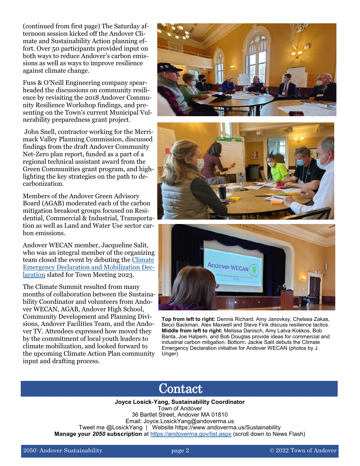(continued from first page) The Saturday afternoon session kicked off the Andover Climate and Sustainability Action planning effort. Over 50 participants provided input on both ways to reduce Andover's carbon emissions as well as ways to improve resilience against climate change.

Fuss & O'Neill Engineering company spearheaded the discussions on community resilience by revisiting the 2018 Andover Community Resilience Workshop findings, and presenting on the Town's current Municipal Vulnerability preparedness grant project.

John Snell, contractor working for the Merrimack Valley Planning Commission, discussed findings from the draft Andover Community Net-Zero plan report, funded as a part of a regional technical assistant award from the Green Communities grant program, and highlighting the key strategies on the path to decarbonization.

Members of the Andover Green Advisory Board (AGAB) moderated each of the carbon mitigation breakout groups focused on Residential, Commercial & Industrial, Transportation as well as Land and Water Use sector carbon emissions.

Andover WECAN member, Jacqueline Salit, who was an integral member of the organizing team closed the event by debuting the [Climate](https://www.andoverwecan.org/climate-declaration)  [Emergency Declaration and Mobilization Dec](https://www.andoverwecan.org/climate-declaration)[laration](https://www.andoverwecan.org/climate-declaration) slated for Town Meeting 2023.

The Climate Summit resulted from many months of collaboration between the Sustainability Coordinator and volunteers from Andover WECAN, AGAB, Andover High School, Community Development and Planning Divisions, Andover Facilities Team, and the Andover TV. Attendees expressed how moved they by the commitment of local youth leaders to climate mobilization, and looked forward to the upcoming Climate Action Plan community input and drafting process.







**Top from left to right:** Dennis Richard, Amy Janovksy, Chelsea Zakas, Becci Backman, Alex Maxwell and Steve Fink discuss resilience tactics. **Middle from left to right:** Melissa Danisch, Amy Latva-Kokkos, Bob Banta, Joe Halpern, and Bob Douglas provide ideas for commercial and industrial carbon mitigation. Bottom**:** Jackie Salit debuts the Climate Emergency Declaration initiative for Andover WECAN (photos by J. Unger)

## Contact

**Joyce Losick-Yang, Sustainability Coordinator** Town of Andover 36 Bartlet Street, Andover MA 01810 Email: Joyce.LosickYang@andoverma.us Tweet me @LosickYang | Website https://www.andoverma.us/Sustainability **Manage your** *2050* **subscription** at <https://andoverma.gov/list.aspx> (scroll down to News Flash)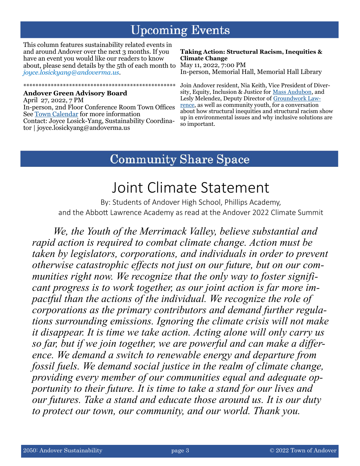# **Upcoming Events**

This column features sustainability related events in and around Andover over the next 3 months. If you have an event you would like our readers to know about, please send details by the 5th of each month to May 11, 2022, 7:00 PM *joyce.losickyang@andoverma.us*.

\*\*\*\*\*\*\*\*\*\*\*\*\*\*\*\*\*\*\*\*\*\*\*\*\*\*\*\*\*\*\*\*\*\*\*\*\*\*\*\*\*\*\*\*\*\*\*\*\*\*

### **Andover Green Advisory Board**

April 27, 2022, 7 PM In-person, 2nd Floor Conference Room Town Offices See [Town Calendar](https://www.andoverma.gov/calendar) for more information Contact: Joyce Losick-Yang, Sustainability Coordinator | joyce.losickyang@andoverma.us

#### **Taking Action: Structural Racism, Inequities & Climate Change**

In-person, Memorial Hall, Memorial Hall Library

Join Andover resident, Nia Keith, Vice President of Diversity, Equity, Inclusion & Justice for [Mass Audubon,](https://www.massaudubon.org/about-us/leadership) and Lesly Melendez, Deputy Director of [Groundwork Law](https://www.groundworklawrence.org/)[rence,](https://www.groundworklawrence.org/) as well as community youth, for a conversation about how structural inequities and structural racism show up in environmental issues and why inclusive solutions are so important.

## **Community Share Space**

# Joint Climate Statement

By: Students of Andover High School, Phillips Academy, and the Abbott Lawrence Academy as read at the Andover 2022 Climate Summit

*We, the Youth of the Merrimack Valley, believe substantial and rapid action is required to combat climate change. Action must be taken by legislators, corporations, and individuals in order to prevent otherwise catastrophic effects not just on our future, but on our communities right now. We recognize that the only way to foster significant progress is to work together, as our joint action is far more impactful than the actions of the individual. We recognize the role of corporations as the primary contributors and demand further regulations surrounding emissions. Ignoring the climate crisis will not make it disappear. It is time we take action. Acting alone will only carry us so far, but if we join together, we are powerful and can make a difference. We demand a switch to renewable energy and departure from fossil fuels. We demand social justice in the realm of climate change, providing every member of our communities equal and adequate opportunity to their future. It is time to take a stand for our lives and our futures. Take a stand and educate those around us. It is our duty to protect our town, our community, and our world. Thank you.*